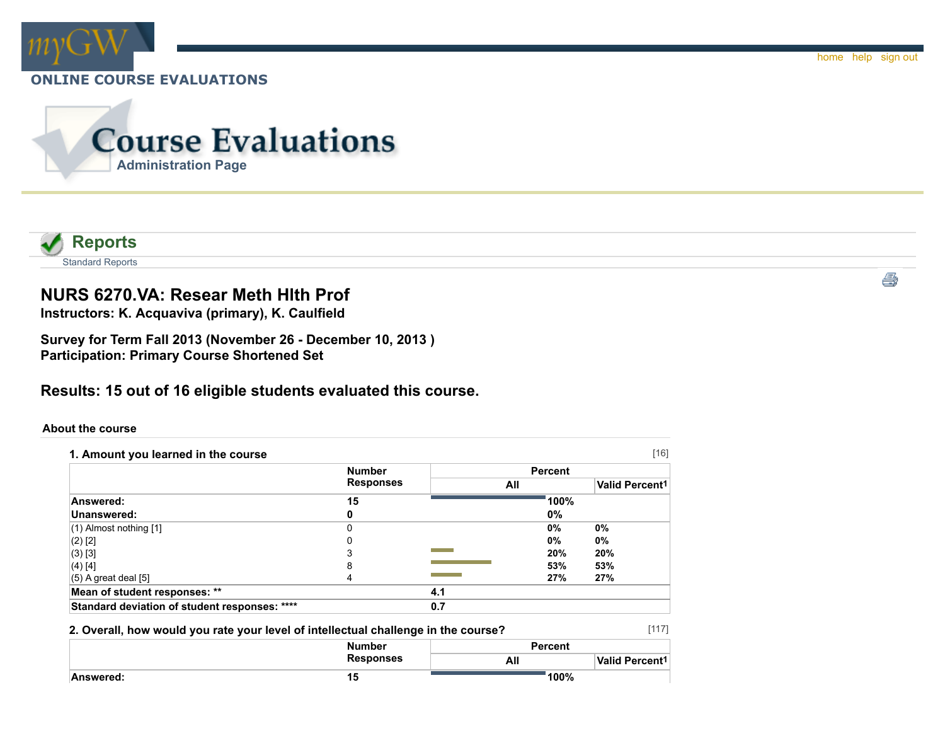



# **NURS 6270.VA: Resear Meth Hlth Prof**

**Instructors: K. Acquaviva (primary), K. Caulfield**

**Survey for Term Fall 2013 (November 26 - December 10, 2013 ) Participation: Primary Course Shortened Set**

**Results: 15 out of 16 eligible students evaluated this course.**

### **About the course**

| 1. Amount you learned in the course           |                  |     |                | $[16]$                     |  |
|-----------------------------------------------|------------------|-----|----------------|----------------------------|--|
|                                               | <b>Number</b>    |     | <b>Percent</b> |                            |  |
|                                               | <b>Responses</b> | All |                | Valid Percent <sup>1</sup> |  |
| Answered:                                     | 15               |     | 100%           |                            |  |
| Unanswered:                                   |                  |     | 0%             |                            |  |
| $(1)$ Almost nothing $[1]$                    | $\Omega$         |     | $0\%$          | $0\%$                      |  |
| $(2)$ [2]                                     |                  |     | $0\%$          | $0\%$                      |  |
| $(3)$ [3]                                     |                  |     | 20%            | 20%                        |  |
| (4) [4]                                       | 8                |     | 53%            | 53%                        |  |
| $(5)$ A great deal $[5]$                      | Δ                |     | 27%            | 27%                        |  |
| Mean of student responses: **                 |                  | 4.1 |                |                            |  |
| Standard deviation of student responses: **** |                  | 0.7 |                |                            |  |

### **2. Overall, how would you rate your level of intellectual challenge in the course?**

|           | <b>Number</b>    | <b>Percent</b> |                       |  |
|-----------|------------------|----------------|-----------------------|--|
|           | <b>Responses</b> | All            | <b>Valid Percent1</b> |  |
| Answered: | 15               | 100%           |                       |  |

[117]

ê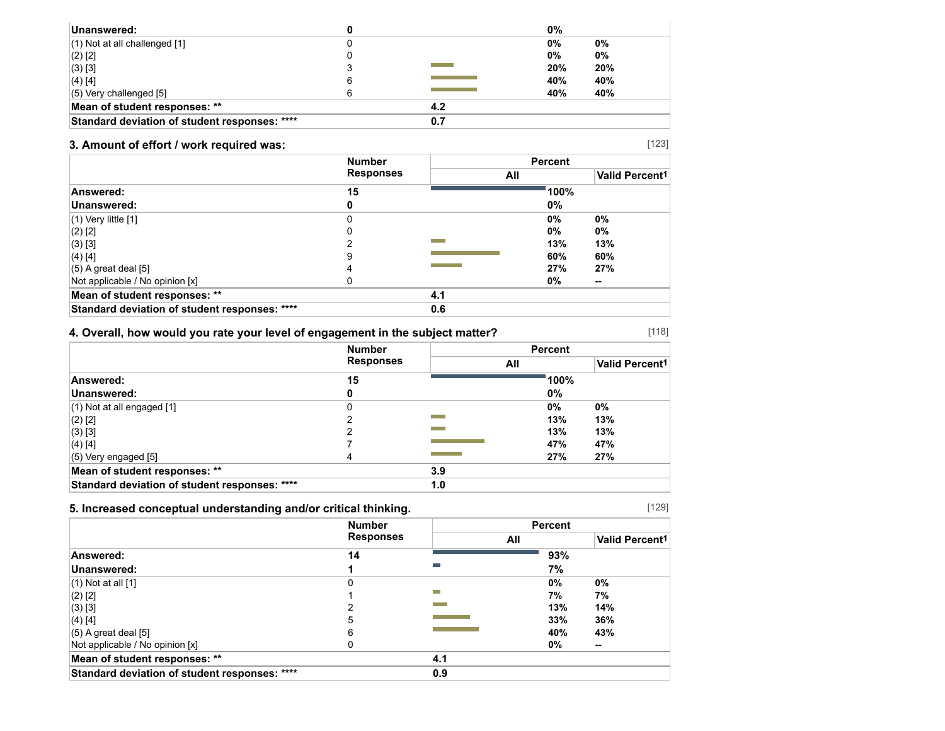| Unanswered:                                   |   |          | 0%  |     |
|-----------------------------------------------|---|----------|-----|-----|
| $(1)$ Not at all challenged $[1]$             |   |          | 0%  | 0%  |
| $(2)$ [2]                                     |   |          | 0%  | 0%  |
| (3) [3]                                       |   | an an am | 20% | 20% |
| $(4)$ [4]                                     | 6 |          | 40% | 40% |
| $(5)$ Very challenged $[5]$                   |   |          | 40% | 40% |
| Mean of student responses: **                 |   | 4.2      |     |     |
| Standard deviation of student responses: **** |   | 0.7      |     |     |

## **3. Amount of effort / work required was:**

|                                               | <b>Number</b>    |     | <b>Percent</b> |                            |
|-----------------------------------------------|------------------|-----|----------------|----------------------------|
|                                               | <b>Responses</b> |     | All            | Valid Percent <sup>1</sup> |
| Answered:                                     | 15               |     | 100%           |                            |
| Unanswered:                                   |                  |     | 0%             |                            |
| $(1)$ Very little $[1]$                       | O                |     | 0%             | 0%                         |
| $(2)$ [2]                                     |                  |     | 0%             | 0%                         |
| $(3)$ [3]                                     |                  |     | 13%            | 13%                        |
| $(4)$ [4]                                     | 9                |     | 60%            | 60%                        |
| $(5)$ A great deal [5]                        | 4                |     | 27%            | 27%                        |
| Not applicable / No opinion [x]               |                  |     | 0%             | $\sim$                     |
| Mean of student responses: **                 |                  | 4.1 |                |                            |
| Standard deviation of student responses: **** |                  | 0.6 |                |                            |

## **4. Overall, how would you rate your level of engagement in the subject matter?**

|                                               | <b>Number</b><br><b>Responses</b> |     | <b>Percent</b> |                       |  |
|-----------------------------------------------|-----------------------------------|-----|----------------|-----------------------|--|
|                                               |                                   |     | All            | <b>Valid Percent1</b> |  |
| Answered:                                     | 15                                |     | 100%           |                       |  |
| Unanswered:                                   | o                                 |     | 0%             |                       |  |
| $(1)$ Not at all engaged $[1]$                | 0                                 |     | $0\%$          | 0%                    |  |
| $(2)$ [2]                                     |                                   |     | 13%            | 13%                   |  |
| $(3)$ [3]                                     |                                   |     | 13%            | 13%                   |  |
| $(4)$ [4]                                     |                                   |     | 47%            | 47%                   |  |
| $(5)$ Very engaged $[5]$                      |                                   |     | 27%            | 27%                   |  |
| Mean of student responses: **                 |                                   | 3.9 |                |                       |  |
| Standard deviation of student responses: **** |                                   | 1.0 |                |                       |  |

### **5. Increased conceptual understanding and/or critical thinking.**

|                                               | <b>Number</b><br><b>Responses</b> |     | <b>Percent</b> |                       |  |
|-----------------------------------------------|-----------------------------------|-----|----------------|-----------------------|--|
|                                               |                                   | All |                | <b>Valid Percent1</b> |  |
| Answered:                                     | 14                                |     | 93%            |                       |  |
| Unanswered:                                   |                                   |     | 7%             |                       |  |
| $(1)$ Not at all $[1]$                        |                                   |     | 0%             | 0%                    |  |
| $(2)$ [2]                                     |                                   |     | 7%             | 7%                    |  |
| (3) [3]                                       |                                   |     | 13%            | 14%                   |  |
| (4) [4]                                       | 5                                 |     | 33%            | 36%                   |  |
| $(5)$ A great deal $[5]$                      | 6                                 |     | 40%            | 43%                   |  |
| Not applicable / No opinion [x]               |                                   |     | 0%             | $\sim$                |  |
| Mean of student responses: **                 |                                   | 4.1 |                |                       |  |
| Standard deviation of student responses: **** |                                   | 0.9 |                |                       |  |

[129]

[118]

[123]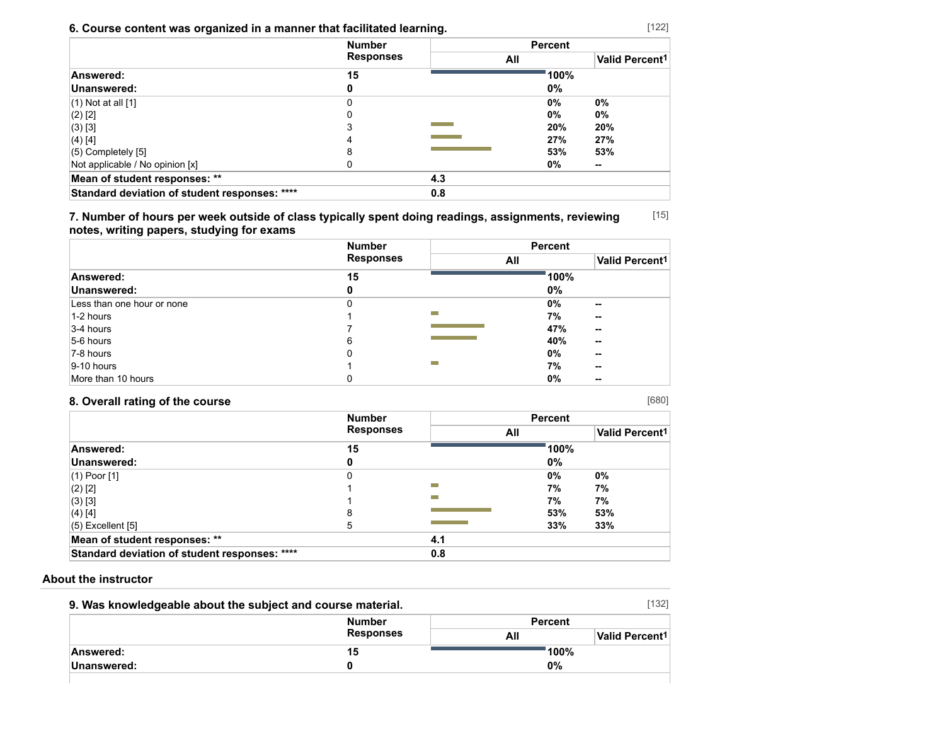## **6. Course content was organized in a manner that facilitated learning.**

|                                               | <b>Number</b>    |     | <b>Percent</b><br>All |     |
|-----------------------------------------------|------------------|-----|-----------------------|-----|
|                                               | <b>Responses</b> |     |                       |     |
| Answered:                                     | 15               |     | 100%                  |     |
| Unanswered:                                   | o                |     | 0%                    |     |
| $(1)$ Not at all $[1]$                        | 0                |     | $0\%$                 | 0%  |
| $(2)$ [2]                                     |                  |     | $0\%$                 | 0%  |
| $(3)$ [3]                                     |                  |     | 20%                   | 20% |
| (4) [4]                                       |                  |     | 27%                   | 27% |
| $(5)$ Completely $[5]$                        | 8                |     | 53%                   | 53% |
| Not applicable / No opinion [x]               |                  |     | 0%                    | --  |
| Mean of student responses: **                 |                  | 4.3 |                       |     |
| Standard deviation of student responses: **** |                  | 0.8 |                       |     |

[15] **7. Number of hours per week outside of class typically spent doing readings, assignments, reviewing notes, writing papers, studying for exams**

|                            | <b>Number</b>    | <b>Percent</b> |       |                            |
|----------------------------|------------------|----------------|-------|----------------------------|
|                            | <b>Responses</b> | All            |       | Valid Percent <sup>1</sup> |
| Answered:                  | 15               |                | 100%  |                            |
| Unanswered:                | 0                |                | $0\%$ |                            |
| Less than one hour or none | 0                |                | 0%    | $\sim$                     |
| 1-2 hours                  |                  | <b>COL</b>     | 7%    | $\sim$                     |
| $3-4$ hours                |                  |                | 47%   | $\sim$                     |
| 5-6 hours                  | 6                |                | 40%   | $\sim$                     |
| 7-8 hours                  | 0                |                | $0\%$ | $\sim$                     |
| $ 9-10$ hours              |                  | ▀              | 7%    | $\sim$                     |
| More than 10 hours         | 0                |                | 0%    | --                         |

## **8. Overall rating of the course**

|                                               | <b>Number</b>    |                   | <b>Percent</b> |                       |  |
|-----------------------------------------------|------------------|-------------------|----------------|-----------------------|--|
|                                               | <b>Responses</b> |                   | All            | <b>Valid Percent1</b> |  |
| Answered:                                     | 15               |                   | 100%           |                       |  |
| Unanswered:                                   | 0                |                   | 0%             |                       |  |
| (1) Poor [1]                                  | 0                |                   | 0%             | 0%                    |  |
| (2) [2]                                       |                  | m.                | 7%             | 7%                    |  |
| (3) [3]                                       |                  | m.                | 7%             | 7%                    |  |
| $(4)$ [4]                                     | 8                |                   | 53%            | 53%                   |  |
| (5) Excellent [5]                             | 5                | <b>CONTRACTOR</b> | 33%            | 33%                   |  |
| Mean of student responses: **                 |                  | 4.1               |                |                       |  |
| Standard deviation of student responses: **** |                  | 0.8               |                |                       |  |

### **About the instructor**

| 9. Was knowledgeable about the subject and course material. |                  |                | [132]                      |
|-------------------------------------------------------------|------------------|----------------|----------------------------|
|                                                             | <b>Number</b>    | <b>Percent</b> |                            |
|                                                             | <b>Responses</b> | All            | Valid Percent <sup>1</sup> |
| Answered:                                                   | 15               |                | 100%                       |
| Unanswered:                                                 |                  | 0%             |                            |
|                                                             |                  |                |                            |

[680]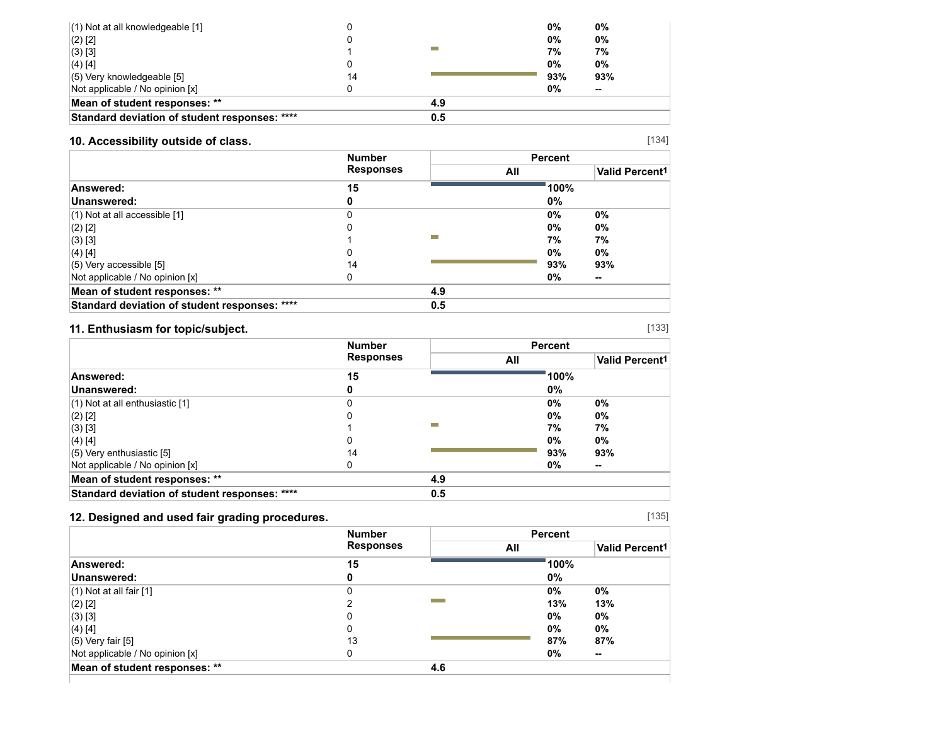| $(1)$ Not at all knowledgeable [1]            |    |     | 0%  | $0\%$  |  |
|-----------------------------------------------|----|-----|-----|--------|--|
| $(2)$ [2]                                     |    |     | 0%  | $0\%$  |  |
| $(3)$ [3]                                     |    |     | 7%  | 7%     |  |
| $(4)$ [4]                                     |    |     | 0%  | $0\%$  |  |
| $(5)$ Very knowledgeable [5]                  | 14 |     | 93% | 93%    |  |
| Not applicable / No opinion [x]               |    |     | 0%  | $\sim$ |  |
| Mean of student responses: **                 |    | 4.9 |     |        |  |
| Standard deviation of student responses: **** |    | 0.5 |     |        |  |

## **10. Accessibility outside of class.**

|                                               | <b>Number</b><br><b>Responses</b> |     | <b>Percent</b> |                            |
|-----------------------------------------------|-----------------------------------|-----|----------------|----------------------------|
|                                               |                                   |     | All            | Valid Percent <sup>1</sup> |
| Answered:                                     | 15                                |     | 100%           |                            |
| Unanswered:                                   |                                   |     | 0%             |                            |
| $(1)$ Not at all accessible [1]               |                                   |     | 0%             | 0%                         |
| $(2)$ [2]                                     |                                   |     | 0%             | $0\%$                      |
| $(3)$ [3]                                     |                                   |     | 7%             | 7%                         |
| $(4)$ [4]                                     |                                   |     | 0%             | 0%                         |
| $(5)$ Very accessible [5]                     | 14                                |     | 93%            | 93%                        |
| Not applicable / No opinion [x]               | U                                 |     | 0%             | $\sim$                     |
| Mean of student responses: **                 |                                   | 4.9 |                |                            |
| Standard deviation of student responses: **** |                                   | 0.5 |                |                            |

## **11. Enthusiasm for topic/subject.**

|                                               | <b>Number</b><br><b>Responses</b> |     | <b>Percent</b> |                       |
|-----------------------------------------------|-----------------------------------|-----|----------------|-----------------------|
|                                               |                                   |     | All            | <b>Valid Percent1</b> |
| Answered:                                     | 15                                |     | 100%           |                       |
| Unanswered:                                   |                                   |     | 0%             |                       |
| $(1)$ Not at all enthusiastic [1]             |                                   |     | 0%             | 0%                    |
| $(2)$ [2]                                     |                                   |     | 0%             | $0\%$                 |
| $(3)$ [3]                                     |                                   |     | 7%             | 7%                    |
| $(4)$ [4]                                     |                                   |     | 0%             | 0%                    |
| $(5)$ Very enthusiastic [5]                   | 14                                |     | 93%            | 93%                   |
| Not applicable / No opinion [x]               | U                                 |     | 0%             | $\sim$                |
| Mean of student responses: **                 |                                   | 4.9 |                |                       |
| Standard deviation of student responses: **** |                                   | 0.5 |                |                       |

## **12. Designed and used fair grading procedures.**

|                                 | <b>Number</b><br><b>Responses</b> |     | <b>Percent</b> |                       |
|---------------------------------|-----------------------------------|-----|----------------|-----------------------|
|                                 |                                   | All |                | <b>Valid Percent1</b> |
| Answered:                       | 15                                |     | 100%           |                       |
| Unanswered:                     |                                   |     | $0\%$          |                       |
| $(1)$ Not at all fair $[1]$     |                                   |     | $0\%$<br>$0\%$ |                       |
| (2) [2]                         |                                   |     | 13%<br>13%     |                       |
| (3) [3]                         |                                   |     | 0%<br>$0\%$    |                       |
| (4) [4]                         |                                   |     | 0%<br>0%       |                       |
| (5) Very fair [5]               | 13                                |     | 87%<br>87%     |                       |
| Not applicable / No opinion [x] |                                   |     | 0%<br>$\sim$   |                       |
| Mean of student responses: **   |                                   | 4.6 |                |                       |

[135]

[134]

[133]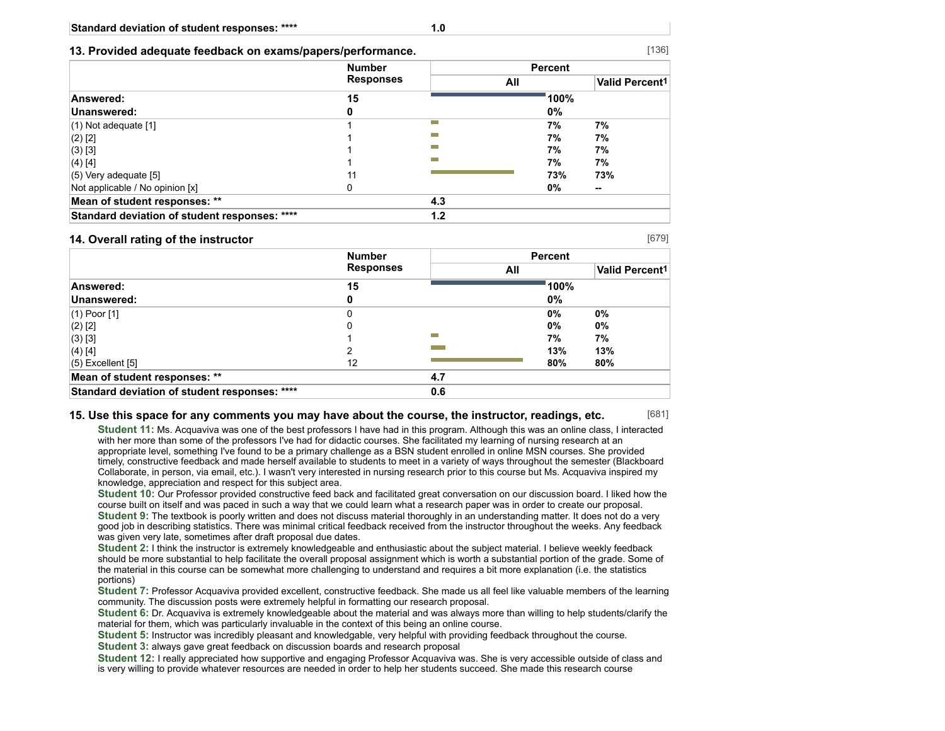**13. Provided adequate feedback on exams/papers/performance.**

|                                               | <b>Number</b><br><b>Responses</b> |     | <b>Percent</b> |                            |  |
|-----------------------------------------------|-----------------------------------|-----|----------------|----------------------------|--|
|                                               |                                   | All |                | Valid Percent <sup>1</sup> |  |
| Answered:                                     | 15                                |     | 100%           |                            |  |
| Unanswered:                                   | 0                                 |     | 0%             |                            |  |
| $(1)$ Not adequate $[1]$                      |                                   | m.  | 7%             | 7%                         |  |
| $(2)$ [2]                                     |                                   |     | 7%             | 7%                         |  |
| $(3)$ [3]                                     |                                   |     | 7%             | 7%                         |  |
| $(4)$ [4]                                     |                                   |     | 7%             | 7%                         |  |
| $(5)$ Very adequate [5]                       | 11                                |     | 73%            | 73%                        |  |
| Not applicable / No opinion [x]               | 0                                 |     | 0%             | --                         |  |
| Mean of student responses: **                 |                                   | 4.3 |                |                            |  |
| Standard deviation of student responses: **** |                                   | 1.2 |                |                            |  |

#### **14. Overall rating of the instructor**

[679]

[681]

|                                               | <b>Number</b> |             |                       | <b>Percent</b> |  |
|-----------------------------------------------|---------------|-------------|-----------------------|----------------|--|
| <b>Responses</b>                              |               | All         | <b>Valid Percent1</b> |                |  |
| Answered:                                     | 15            |             | 100%                  |                |  |
| Unanswered:                                   | 0             |             | 0%                    |                |  |
| $(1)$ Poor $[1]$                              | 0             |             | $0\%$                 | $0\%$          |  |
| $(2)$ [2]                                     | 0             |             | $0\%$                 | $0\%$          |  |
| (3) [3]                                       |               | <b>Tara</b> | 7%                    | 7%             |  |
| (4) [4]                                       |               |             | 13%                   | 13%            |  |
| $(5)$ Excellent $[5]$                         | 12            |             | 80%                   | 80%            |  |
| Mean of student responses: **                 |               | 4.7         |                       |                |  |
| Standard deviation of student responses: **** |               | 0.6         |                       |                |  |

#### **15. Use this space for any comments you may have about the course, the instructor, readings, etc.**

**Student 11:** Ms. Acquaviva was one of the best professors I have had in this program. Although this was an online class, I interacted with her more than some of the professors I've had for didactic courses. She facilitated my learning of nursing research at an appropriate level, something I've found to be a primary challenge as a BSN student enrolled in online MSN courses. She provided timely, constructive feedback and made herself available to students to meet in a variety of ways throughout the semester (Blackboard Collaborate, in person, via email, etc.). I wasn't very interested in nursing research prior to this course but Ms. Acquaviva inspired my knowledge, appreciation and respect for this subject area.

**Student 10:** Our Professor provided constructive feed back and facilitated great conversation on our discussion board. I liked how the course built on itself and was paced in such a way that we could learn what a research paper was in order to create our proposal. **Student 9:** The textbook is poorly written and does not discuss material thoroughly in an understanding matter. It does not do a very good job in describing statistics. There was minimal critical feedback received from the instructor throughout the weeks. Any feedback was given very late, sometimes after draft proposal due dates.

**Student 2:** I think the instructor is extremely knowledgeable and enthusiastic about the subject material. I believe weekly feedback should be more substantial to help facilitate the overall proposal assignment which is worth a substantial portion of the grade. Some of the material in this course can be somewhat more challenging to understand and requires a bit more explanation (i.e. the statistics portions)

**Student 7:** Professor Acquaviva provided excellent, constructive feedback. She made us all feel like valuable members of the learning community. The discussion posts were extremely helpful in formatting our research proposal.

**Student 6:** Dr. Acquaviva is extremely knowledgeable about the material and was always more than willing to help students/clarify the material for them, which was particularly invaluable in the context of this being an online course.

**Student 5:** Instructor was incredibly pleasant and knowledgable, very helpful with providing feedback throughout the course. **Student 3:** always gave great feedback on discussion boards and research proposal

**Student 12:** I really appreciated how supportive and engaging Professor Acquaviva was. She is very accessible outside of class and is very willing to provide whatever resources are needed in order to help her students succeed. She made this research course

### [136]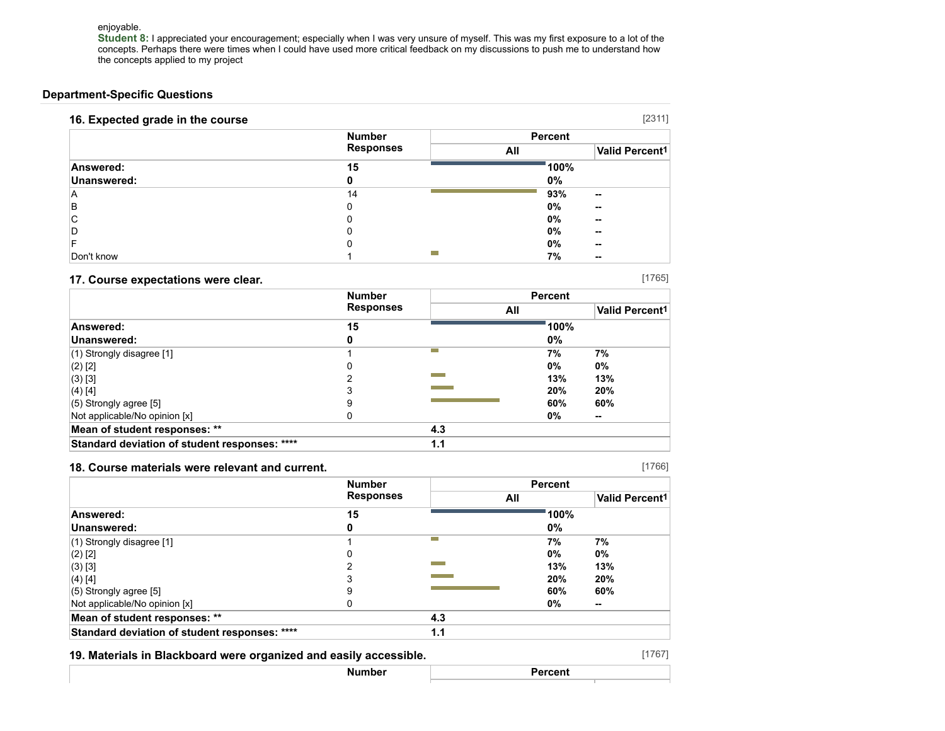enjoyable.

**Student 8:** I appreciated your encouragement; especially when I was very unsure of myself. This was my first exposure to a lot of the concepts. Perhaps there were times when I could have used more critical feedback on my discussions to push me to understand how the concepts applied to my project

### **Department-Specific Questions**

| 16. Expected grade in the course |                  |                | [2311]                     |
|----------------------------------|------------------|----------------|----------------------------|
|                                  | <b>Number</b>    | <b>Percent</b> |                            |
|                                  | <b>Responses</b> | All            | Valid Percent <sup>1</sup> |
| Answered:                        | 15               | 100%           |                            |
| Unanswered:                      | 0                | $0\%$          |                            |
| A                                | 14               | 93%            | --                         |
| B                                | 0                | 0%             | --                         |
| ⌒<br>U                           |                  | 0%             | --                         |
| D                                |                  | $0\%$          | --                         |
|                                  |                  | 0%             | --                         |
| Don't know                       |                  | 7%             | $\sim$                     |

#### **17. Course expectations were clear.**

|                                               | <b>Number</b><br><b>Responses</b> |     | <b>Percent</b> |                            |
|-----------------------------------------------|-----------------------------------|-----|----------------|----------------------------|
|                                               |                                   | All |                | Valid Percent <sup>1</sup> |
| Answered:                                     | 15                                |     | 100%           |                            |
| Unanswered:                                   | 0                                 |     | 0%             |                            |
| $(1)$ Strongly disagree [1]                   |                                   |     | 7%             | 7%                         |
| $(2)$ [2]                                     | 0                                 |     | 0%             | 0%                         |
| $(3)$ [3]                                     | 2                                 |     | 13%            | 13%                        |
| $(4)$ [4]                                     | 3                                 |     | 20%            | 20%                        |
| $(5)$ Strongly agree [5]                      | 9                                 |     | 60%            | 60%                        |
| Not applicable/No opinion [x]                 | 0                                 |     | 0%             | $\sim$                     |
| Mean of student responses: **                 |                                   | 4.3 |                |                            |
| Standard deviation of student responses: **** |                                   | 1.1 |                |                            |

#### **18. Course materials were relevant and current.**

**Number Responses Percent All Valid Percent1 Answered: 15 100% Unanswered: 0 0%** (1) Strongly disagree [1] 1 **7% 7%** (2) [2] 0 **0% 0%** (3) [3] 2 **13% 13%** (4) [4] 3 **20% 20%** (5) Strongly agree [5] 9 **60% 60%** Not applicable/No opinion [x] **0% --Mean of student responses: \*\* 4.3 Standard deviation of student responses: \*\*\*\* 1.1**

**19. Materials in Blackboard were organized and easily accessible.**

[1765]

[1766]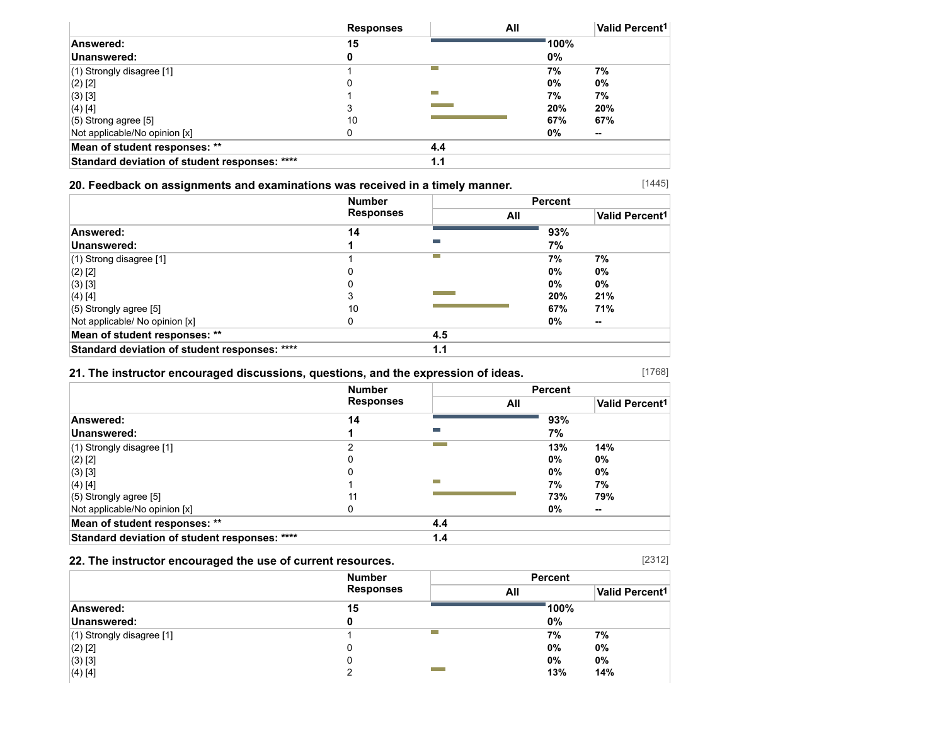|                                               | <b>Responses</b> | All |       | Valid Percent <sup>1</sup> |
|-----------------------------------------------|------------------|-----|-------|----------------------------|
| Answered:                                     | 15               |     | 100%  |                            |
| Unanswered:                                   | o                |     | 0%    |                            |
| $(1)$ Strongly disagree [1]                   |                  | −   | 7%    | 7%                         |
| $(2)$ [2]                                     | 0                |     | 0%    | 0%                         |
| (3) [3]                                       |                  | m.  | 7%    | 7%                         |
| $(4)$ [4]                                     | ◠                |     | 20%   | 20%                        |
| $(5)$ Strong agree [5]                        | 10               |     | 67%   | 67%                        |
| Not applicable/No opinion [x]                 | 0                |     | $0\%$ | --                         |
| Mean of student responses: **                 |                  | 4.4 |       |                            |
| Standard deviation of student responses: **** |                  | 1.1 |       |                            |

## **20. Feedback on assignments and examinations was received in a timely manner.**

[1445]

|                                               | <b>Number</b><br><b>Responses</b> |     | <b>Percent</b> |                       |
|-----------------------------------------------|-----------------------------------|-----|----------------|-----------------------|
|                                               |                                   | All |                | <b>Valid Percent1</b> |
| Answered:                                     | 14                                |     | 93%            |                       |
| Unanswered:                                   |                                   |     | 7%             |                       |
| $(1)$ Strong disagree [1]                     |                                   | m.  | 7%             | 7%                    |
| $(2)$ [2]                                     |                                   |     | 0%             | 0%                    |
| $(3)$ [3]                                     |                                   |     | 0%             | 0%                    |
| $(4)$ [4]                                     |                                   |     | 20%            | 21%                   |
| $(5)$ Strongly agree [5]                      | 10                                |     | 67%            | 71%                   |
| Not applicable/ No opinion [x]                |                                   |     | 0%             | --                    |
| Mean of student responses: **                 |                                   | 4.5 |                |                       |
| Standard deviation of student responses: **** |                                   | 1.1 |                |                       |

### **21. The instructor encouraged discussions, questions, and the expression of ideas.**

[1768]

[2312]

|                                               | <b>Number</b><br><b>Responses</b> |     | <b>Percent</b> |                       |
|-----------------------------------------------|-----------------------------------|-----|----------------|-----------------------|
|                                               |                                   |     | All            | <b>Valid Percent1</b> |
| Answered:                                     | 14                                |     | 93%            |                       |
| Unanswered:                                   |                                   |     | 7%             |                       |
| (1) Strongly disagree [1]                     |                                   |     | 13%            | 14%                   |
| $(2)$ [2]                                     |                                   |     | $0\%$          | 0%                    |
| (3) [3]                                       |                                   |     | 0%             | 0%                    |
| $(4)$ [4]                                     |                                   | m.  | 7%             | 7%                    |
| (5) Strongly agree [5]                        | 11                                |     | 73%            | 79%                   |
| Not applicable/No opinion [x]                 | 0                                 |     | 0%             | --                    |
| Mean of student responses: **                 |                                   | 4.4 |                |                       |
| Standard deviation of student responses: **** |                                   | 1.4 |                |                       |

## **22. The instructor encouraged the use of current resources.**

|                             | <b>Number</b>    | <b>Percent</b> |                       |
|-----------------------------|------------------|----------------|-----------------------|
|                             | <b>Responses</b> | All            | <b>Valid Percent1</b> |
| Answered:                   | 15               | 100%           |                       |
| Unanswered:                 |                  | $0\%$          |                       |
| $(1)$ Strongly disagree [1] |                  | 7%             | 7%                    |
| $(2)$ [2]                   | 0                | $0\%$          | 0%                    |
| (3) [3]                     | 0                | $0\%$          | 0%                    |
| $(4)$ [4]                   |                  | 13%            | 14%                   |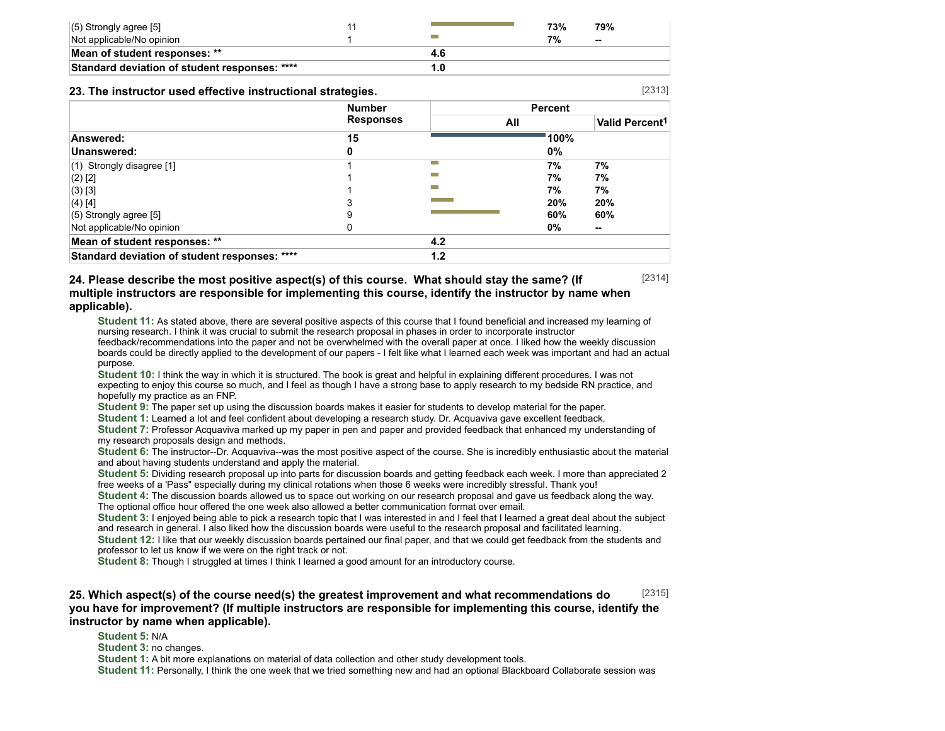| $(5)$ Strongly agree [5]                      |  | 73% | 79%                      |
|-----------------------------------------------|--|-----|--------------------------|
| Not applicable/No opinion                     |  | 7%  | $\overline{\phantom{a}}$ |
| Mean of student responses: **                 |  |     |                          |
| Standard deviation of student responses: **** |  |     |                          |

#### **23. The instructor used effective instructional strategies.**

|                                               | <b>Number</b><br><b>Responses</b> |     | <b>Percent</b> |                       |
|-----------------------------------------------|-----------------------------------|-----|----------------|-----------------------|
|                                               |                                   | All |                | <b>Valid Percent1</b> |
| Answered:                                     | 15                                |     | 100%           |                       |
| Unanswered:                                   | 0                                 |     | 0%             |                       |
| $(1)$ Strongly disagree [1]                   |                                   | m.  | 7%             | 7%                    |
| $(2)$ [2]                                     |                                   |     | 7%             | 7%                    |
| $(3)$ [3]                                     |                                   |     | 7%             | 7%                    |
| $(4)$ [4]                                     | 3                                 |     | 20%            | 20%                   |
| $(5)$ Strongly agree [5]                      | 9                                 |     | 60%            | 60%                   |
| Not applicable/No opinion                     |                                   |     | 0%             | $\sim$                |
| Mean of student responses: **                 |                                   | 4.2 |                |                       |
| Standard deviation of student responses: **** |                                   | 1.2 |                |                       |

### **24. Please describe the most positive aspect(s) of this course. What should stay the same? (If multiple instructors are responsible for implementing this course, identify the instructor by name when applicable).**

**Student 11:** As stated above, there are several positive aspects of this course that I found beneficial and increased my learning of nursing research. I think it was crucial to submit the research proposal in phases in order to incorporate instructor feedback/recommendations into the paper and not be overwhelmed with the overall paper at once. I liked how the weekly discussion boards could be directly applied to the development of our papers - I felt like what I learned each week was important and had an actual purpose.

**Student 10:** I think the way in which it is structured. The book is great and helpful in explaining different procedures. I was not expecting to enjoy this course so much, and I feel as though I have a strong base to apply research to my bedside RN practice, and hopefully my practice as an FNP.

**Student 9:** The paper set up using the discussion boards makes it easier for students to develop material for the paper.

**Student 1:** Learned a lot and feel confident about developing a research study. Dr. Acquaviva gave excellent feedback.

**Student 7:** Professor Acquaviva marked up my paper in pen and paper and provided feedback that enhanced my understanding of my research proposals design and methods.

**Student 6:** The instructor--Dr. Acquaviva--was the most positive aspect of the course. She is incredibly enthusiastic about the material and about having students understand and apply the material.

**Student 5:** Dividing research proposal up into parts for discussion boards and getting feedback each week. I more than appreciated 2 free weeks of a 'Pass" especially during my clinical rotations when those 6 weeks were incredibly stressful. Thank you!

**Student 4:** The discussion boards allowed us to space out working on our research proposal and gave us feedback along the way. The optional office hour offered the one week also allowed a better communication format over email.

**Student 3:** I enjoyed being able to pick a research topic that I was interested in and I feel that I learned a great deal about the subject and research in general. I also liked how the discussion boards were useful to the research proposal and facilitated learning.

**Student 12:** I like that our weekly discussion boards pertained our final paper, and that we could get feedback from the students and professor to let us know if we were on the right track or not.

**Student 8:** Though I struggled at times I think I learned a good amount for an introductory course.

#### [2315] **25. Which aspect(s) of the course need(s) the greatest improvement and what recommendations do you have for improvement? (If multiple instructors are responsible for implementing this course, identify the instructor by name when applicable).**

**Student 5:** N/A

**Student 3:** no changes.

**Student 1:** A bit more explanations on material of data collection and other study development tools.

**Student 11:** Personally, I think the one week that we tried something new and had an optional Blackboard Collaborate session was

[2313]

[2314]